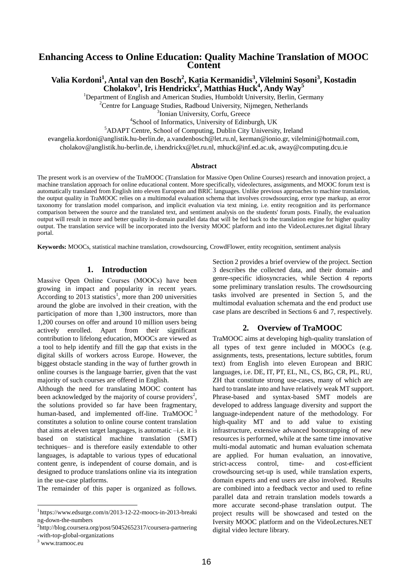## **Enhancing Access to Online Education: Quality Machine Translation of MOOC Content**

# **Valia Kordoni<sup>1</sup> , Antal van den Bosch<sup>2</sup> , Katia Kermanidis<sup>3</sup> , Vilelmini Sosoni<sup>3</sup> , Kostadin Cholakov<sup>1</sup> , Iris Hendrickx<sup>2</sup> , Matthias Huck<sup>4</sup> , Andy Way<sup>5</sup>**

<sup>1</sup>Department of English and American Studies, Humboldt University, Berlin, Germany <sup>2</sup>Centre for Language Studies, Radboud University, Nijmegen, Netherlands

<sup>3</sup>Ionian University, Corfu, Greece

4 School of Informatics, University of Edinburgh, UK

<sup>5</sup>ADAPT Centre, School of Computing, Dublin City University, Ireland

evangelia.kordoni@anglistik.hu-berlin.de, a.vandenbosch@let.ru.nl, kerman@ionio.gr, vilelmini@hotmail.com,

cholakov@anglistik.hu-berlin.de, i.hendrickx@let.ru.nl, mhuck@inf.ed.ac.uk, away@computing.dcu.ie

#### **Abstract**

The present work is an overview of the TraMOOC (Translation for Massive Open Online Courses) research and innovation project, a machine translation approach for online educational content. More specifically, videolectures, assignments, and MOOC forum text is automatically translated from English into eleven European and BRIC languages. Unlike previous approaches to machine translation, the output quality in TraMOOC relies on a multimodal evaluation schema that involves crowdsourcing, error type markup, an error taxonomy for translation model comparison, and implicit evaluation via text mining, i.e. entity recognition and its performance comparison between the source and the translated text, and sentiment analysis on the students' forum posts. Finally, the evaluation output will result in more and better quality in-domain parallel data that will be fed back to the translation engine for higher quality output. The translation service will be incorporated into the Iversity MOOC platform and into the VideoLectures.net digital library portal.

**Keywords:** MOOCs, statistical machine translation, crowdsourcing, CrowdFlower, entity recognition, sentiment analysis

### **1. Introduction**

Massive Οpen Online Courses (MOOCs) have been growing in impact and popularity in recent years. According to 2013 statistics<sup>1</sup>, more than 200 universities around the globe are involved in their creation, with the participation of more than 1,300 instructors, more than 1,200 courses on offer and around 10 million users being actively enrolled. Apart from their significant contribution to lifelong education, MOOCs are viewed as a tool to help identify and fill the gap that exists in the digital skills of workers across Europe. However, the biggest obstacle standing in the way of further growth in online courses is the language barrier, given that the vast majority of such courses are offered in English.

Although the need for translating MOOC content has been acknowledged by the majority of course providers<sup>2</sup>, the solutions provided so far have been fragmentary, human-based, and implemented off-line. TraMOOC constitutes a solution to online course content translation that aims at eleven target languages, is automatic –i.e. it is based on statistical machine translation (SMT) techniques– and is therefore easily extendable to other languages, is adaptable to various types of educational content genre, is independent of course domain, and is designed to produce translations online via its integration in the use-case platforms.

The remainder of this paper is organized as follows.

l

Section 2 provides a brief overview of the project. Section 3 describes the collected data, and their domain- and genre-specific idiosyncracies, while Section 4 reports some preliminary translation results. The crowdsourcing tasks involved are presented in Section 5, and the multimodal evaluation schemata and the end product use case plans are described in Sections 6 and 7, respectively.

## **2. Overview of TraMOOC**

TraMOOC aims at developing high-quality translation of all types of text genre included in MOOCs (e.g. assignments, tests, presentations, lecture subtitles, forum text) from English into eleven European and BRIC languages, i.e. DE, IT, PT, EL, NL, CS, BG, CR, PL, RU, ZH that constitute strong use-cases, many of which are hard to translate into and have relatively weak MT support. Phrase-based and syntax-based SMT models are developed to address language diversity and support the language-independent nature of the methodology. For high-quality MT and to add value to existing infrastructure, extensive advanced bootstrapping of new resources is performed, while at the same time innovative multi-modal automatic and human evaluation schemata are applied. For human evaluation, an innovative, strict-access control, time- and cost-efficient crowdsourcing set-up is used, while translation experts, domain experts and end users are also involved. Results are combined into a feedback vector and used to refine parallel data and retrain translation models towards a more accurate second-phase translation output. The project results will be showcased and tested on the Iversity MOOC platform and on the VideoLectures.NET digital video lecture library.

<sup>1</sup> https://www.edsurge.com/n/2013-12-22-moocs-in-2013-breaki ng-down-the-numbers

<sup>&</sup>lt;sup>2</sup>http://blog.coursera.org/post/50452652317/coursera-partnering -with-top-global-organizations

<sup>3</sup> www.tramooc.eu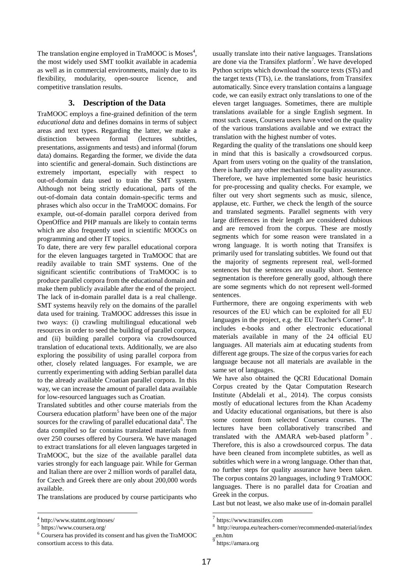The translation engine employed in TraMOOC is Moses<sup>4</sup>, the most widely used SMT toolkit available in academia as well as in commercial environments, mainly due to its flexibility, modularity, open-source licence, and competitive translation results.

# **3. Description of the Data**

TraMOOC employs a fine-grained definition of the term *educational data* and defines domains in terms of subject areas and text types. Regarding the latter, we make a distinction between formal (lectures subtitles, presentations, assignments and tests) and informal (forum data) domains. Regarding the former, we divide the data into scientific and general-domain. Such distinctions are extremely important, especially with respect to out-of-domain data used to train the SMT system. Although not being strictly educational, parts of the out-of-domain data contain domain-specific terms and phrases which also occur in the TraMOOC domains. For example, out-of-domain parallel corpora derived from OpenOffice and PHP manuals are likely to contain terms which are also frequently used in scientific MOOCs on programming and other IT topics.

To date, there are very few parallel educational corpora for the eleven languages targeted in TraMOOC that are readily available to train SMT systems. One of the significant scientific contributions of TraMOOC is to produce parallel corpora from the educational domain and make them publicly available after the end of the project. The lack of in-domain parallel data is a real challenge. SMT systems heavily rely on the domains of the parallel data used for training. TraMOOC addresses this issue in two ways: (i) crawling multilingual educational web resources in order to seed the building of parallel corpora, and (ii) building parallel corpora via crowdsourced translation of educational texts. Additionally, we are also exploring the possibility of using parallel corpora from other, closely related languages. For example, we are currently experimenting with adding Serbian parallel data to the already available Croatian parallel corpora. In this way, we can increase the amount of parallel data available for low-resourced languages such as Croatian.

Translated subtitles and other course materials from the Coursera education platform<sup>5</sup> have been one of the major sources for the crawling of parallel educational data<sup>6</sup>. The data compiled so far contains translated materials from over 250 courses offered by Coursera. We have managed to extract translations for all eleven languages targeted in TraMOOC, but the size of the available parallel data varies strongly for each language pair. While for German and Italian there are over 2 million words of parallel data, for Czech and Greek there are only about 200,000 words available.

The translations are produced by course participants who

l

usually translate into their native languages. Translations are done via the Transifex platform<sup>7</sup>. We have developed Python scripts which download the source texts (STs) and the target texts (TTs), i.e. the translations, from Transifex automatically. Since every translation contains a language code, we can easily extract only translations to one of the eleven target languages. Sometimes, there are multiple translations available for a single English segment. In most such cases, Coursera users have voted on the quality of the various translations available and we extract the translation with the highest number of votes.

Regarding the quality of the translations one should keep in mind that this is basically a crowdsourced corpus. Apart from users voting on the quality of the translation, there is hardly any other mechanism for quality assurance. Therefore, we have implemented some basic heuristics for pre-processing and quality checks. For example, we filter out very short segments such as music, silence, applause, etc. Further, we check the length of the source and translated segments. Parallel segments with very large differences in their length are considered dubious and are removed from the corpus. These are mostly segments which for some reason were translated in a wrong language. It is worth noting that Transifex is primarily used for translating subtitles. We found out that the majority of segments represent real, well-formed sentences but the sentences are usually short. Sentence segmentation is therefore generally good, although there are some segments which do not represent well-formed sentences.

Furthermore, there are ongoing experiments with web resources of the EU which can be exploited for all EU languages in the project, e.g. the EU Teacher's Corner<sup>8</sup>. It includes e-books and other electronic educational materials available in many of the 24 official EU languages. All materials aim at educating students from different age groups. The size of the corpus varies for each language because not all materials are available in the same set of languages.

We have also obtained the QCRI Educational Domain Corpus created by the Qatar Computation Research Institute (Abdelali et al., 2014). The corpus consists mostly of educational lectures from the Khan Academy and Udacity educational organisations, but there is also some content from selected Coursera courses. The lectures have been collaboratively transcribed and translated with the AMARA web-based platform  $9$ . Therefore, this is also a crowdsourced corpus. The data have been cleaned from incomplete subtitles, as well as subtitles which were in a wrong language. Other than that, no further steps for quality assurance have been taken. The corpus contains 20 languages, including 9 TraMOOC languages. There is no parallel data for Croatian and Greek in the corpus.

Last but not least, we also make use of in-domain parallel

.

<sup>4</sup> http://www.statmt.org/moses/

<sup>5</sup> https://www.coursera.org/

<sup>6</sup> Coursera has provided its consent and has given the TraMOOC consortium access to this data.

<sup>7</sup> https://www.transifex.com

<sup>8</sup> http://europa.eu/teachers-corner/recommended-material/index \_en.htm

<sup>9</sup> https://amara.org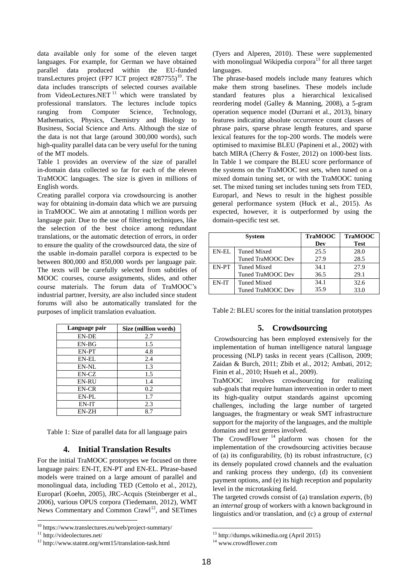data available only for some of the eleven target languages. For example, for German we have obtained parallel data produced within the EU-funded transLectures project (FP7 ICT project  $\#287755$ )<sup>10</sup>. The data includes transcripts of selected courses available from VideoLectures.NET<sup>11</sup> which were translated by professional translators. The lectures include topics ranging from Computer Science, Technology, Mathematics, Physics, Chemistry and Biology to Business, Social Science and Arts. Although the size of the data is not that large (around 300,000 words), such high-quality parallel data can be very useful for the tuning of the MT models.

Table 1 provides an overview of the size of parallel in-domain data collected so far for each of the eleven TraMOOC languages. The size is given in millions of English words.

Creating parallel corpora via crowdsourcing is another way for obtaining in-domain data which we are pursuing in TraMOOC. We aim at annotating 1 million words per language pair. Due to the use of filtering techniques, like the selection of the best choice among redundant translations, or the automatic detection of errors, in order to ensure the quality of the crowdsourced data, the size of the usable in-domain parallel corpora is expected to be between 800,000 and 850,000 words per language pair. The texts will be carefully selected from subtitles of MOOC courses, course assignments, slides, and other course materials. The forum data of TraMOOC's industrial partner, Iversity, are also included since student forums will also be automatically translated for the purposes of implicit translation evaluation.

| Language pair | Size (million words) |  |
|---------------|----------------------|--|
| EN-DE         | 2.7                  |  |
| $EN-BG$       | 1.5                  |  |
| EN-PT         | 4.8                  |  |
| EN-EL         | 2.4                  |  |
| EN-NL         | 1.3                  |  |
| EN-CZ         | 1.5                  |  |
| <b>EN-RU</b>  | 1.4                  |  |
| EN-CR         | 0.2                  |  |
| EN-PL         | 1.7                  |  |
| EN-IT         | 2.3                  |  |
| EN-ZH         | 8.7                  |  |

Table 1: Size of parallel data for all language pairs

### **4. Initial Translation Results**

For the initial TraMOOC prototypes we focused on three language pairs: EN-IT, EN-PT and EN-EL. Phrase-based models were trained on a large amount of parallel and monolingual data, including TED (Cettolo et al., 2012), Europarl (Koehn, 2005), JRC-Acquis (Steinberger et al., 2006), various OPUS corpora (Tiedemann, 2012), WMT News Commentary and Common Crawl<sup>12</sup>, and SETimes

l

(Tyers and Alperen, 2010). These were supplemented with monolingual Wikipedia corpora<sup>13</sup> for all three target languages.

The phrase-based models include many features which make them strong baselines. These models include standard features plus a hierarchical lexicalised reordering model (Galley & Manning, 2008), a 5-gram operation sequence model (Durrani et al., 2013), binary features indicating absolute occurrence count classes of phrase pairs, sparse phrase length features, and sparse lexical features for the top-200 words. The models were optimised to maximise BLEU (Papineni et al., 2002) with batch MIRA (Cherry & Foster, 2012) on 1000-best lists. In Table 1 we compare the BLEU score performance of the systems on the TraMOOC test sets, when tuned on a mixed domain tuning set, or with the TraMOOC tuning set. The mixed tuning set includes tuning sets from TED, Europarl, and News to result in the highest possible general performance system (Huck et al., 2015). As expected, however, it is outperformed by using the domain-specific test set.

|       | <b>System</b>      | <b>TraMOOC</b> | <b>TraMOOC</b> |
|-------|--------------------|----------------|----------------|
|       |                    | Dev            | <b>Test</b>    |
| EN-EL | Tuned Mixed        | 25.5           | 28.0           |
|       | Tuned TraMOOC Dev  | 27.9           | 28.5           |
| EN-PT | Tuned Mixed        | 34.1           | 27.9           |
|       | Tuned TraMOOC Dev  | 36.5           | 29.1           |
| EN-IT | <b>Tuned Mixed</b> | 34.1           | 32.6           |
|       | Tuned TraMOOC Dev  | 35.9           | 33.0           |

Table 2: BLEU scores for the initial translation prototypes

### **5. Crowdsourcing**

Crowdsourcing has been employed extensively for the implementation of human intelligence natural language processing (NLP) tasks in recent years (Callison, 2009; Zaidan & Burch, 2011; Zbib et al., 2012; Ambati, 2012; Finin et al., 2010; Hsueh et al., 2009).

TraMOOC involves crowdsourcing for realizing sub-goals that require human intervention in order to meet its high-quality output standards against upcoming challenges, including the large number of targeted languages, the fragmentary or weak SMT infrastructure support for the majority of the languages, and the multiple domains and text genres involved.

The CrowdFlower<sup>14</sup> platform was chosen for the implementation of the crowdsourcing activities because of (a) its configurability, (b) its robust infrastructure, (c) its densely populated crowd channels and the evaluation and ranking process they undergo, (d) its convenient payment options, and (e) its high reception and popularity level in the microtasking field.

The targeted crowds consist of (a) translation *experts*, (b) an *internal* group of workers with a known background in linguistics and/or translation, and (c) a group of *external*

1

<sup>10</sup> https://www.translectures.eu/web/project-summary/

<sup>&</sup>lt;sup>11</sup> http://videolectures.net/

<sup>12</sup> http://www.statmt.org/wmt15/translation-task.html

<sup>13</sup> http://dumps.wikimedia.org (April 2015)

<sup>&</sup>lt;sup>14</sup> www.crowdflower.com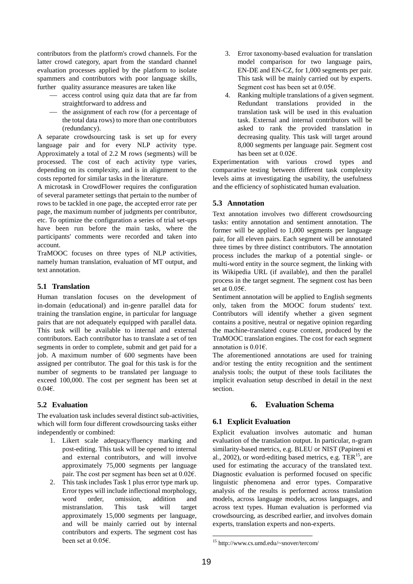contributors from the platform's crowd channels. For the latter crowd category, apart from the standard channel evaluation processes applied by the platform to isolate spammers and contributors with poor language skills, further quality assurance measures are taken like

- access control using quiz data that are far from straightforward to address and
- $\frac{1}{\sqrt{1-\frac{1}{\sqrt{1-\frac{1}{\sqrt{1-\frac{1}{\sqrt{1-\frac{1}{\sqrt{1-\frac{1}{\sqrt{1-\frac{1}{\sqrt{1-\frac{1}{\sqrt{1-\frac{1}{\sqrt{1-\frac{1}{\sqrt{1-\frac{1}{\sqrt{1-\frac{1}{\sqrt{1-\frac{1}{\sqrt{1-\frac{1}{\sqrt{1-\frac{1}{\sqrt{1-\frac{1}{\sqrt{1-\frac{1}{\sqrt{1-\frac{1}{\sqrt{1-\frac{1}{\sqrt{1-\frac{1}{\sqrt{1-\frac{1}{\sqrt{1-\frac{1}{\sqrt{1-\frac{1}{\sqrt{1-\frac{1}{\sqrt{1-\frac{1}{$ the total data rows) to more than one contributors (redundancy).

A separate crowdsourcing task is set up for every language pair and for every NLP activity type. Approximately a total of 2.2 M rows (segments) will be processed. The cost of each activity type varies, depending on its complexity, and is in alignment to the costs reported for similar tasks in the literature.

A microtask in CrowdFlower requires the configuration of several parameter settings that pertain to the number of rows to be tackled in one page, the accepted error rate per page, the maximum number of judgments per contributor, etc. To optimize the configuration a series of trial set-ups have been run before the main tasks, where the participants' comments were recorded and taken into account.

TraMOOC focuses on three types of NLP activities, namely human translation, evaluation of MT output, and text annotation.

## **5.1 Translation**

Human translation focuses on the development of in-domain (educational) and in-genre parallel data for training the translation engine, in particular for language pairs that are not adequately equipped with parallel data. This task will be available to internal and external contributors. Each contributor has to translate a set of ten segments in order to complete, submit and get paid for a job. A maximum number of 600 segments have been assigned per contributor. The goal for this task is for the number of segments to be translated per language to exceed 100,000. The cost per segment has been set at  $0.046$ .

## **5.2 Evaluation**

The evaluation task includes several distinct sub-activities, which will form four different crowdsourcing tasks either independently or combined:

- 1. Likert scale adequacy/fluency marking and post-editing. This task will be opened to internal and external contributors, and will involve approximately 75,000 segments per language pair. The cost per segment has been set at 0.02€.
- 2. This task includes Task 1 plus error type mark up. Error types will include inflectional morphology, word order, omission, addition and mistranslation. This task will target approximately 15,000 segments per language, and will be mainly carried out by internal contributors and experts. The segment cost has been set at 0.05€.
- 3. Error taxonomy-based evaluation for translation model comparison for two language pairs, EN-DE and EN-CZ, for 1,000 segments per pair. This task will be mainly carried out by experts. Segment cost has been set at 0.05€.
- 4. Ranking multiple translations of a given segment. Redundant translations provided in the translation task will be used in this evaluation task. External and internal contributors will be asked to rank the provided translation in decreasing quality. This task will target around 8,000 segments per language pair. Segment cost has been set at 0.02€.

Experimentation with various crowd types and comparative testing between different task complexity levels aims at investigating the usability, the usefulness and the efficiency of sophisticated human evaluation.

## **5.3 Annotation**

Text annotation involves two different crowdsourcing tasks: entity annotation and sentiment annotation. The former will be applied to 1,000 segments per language pair, for all eleven pairs. Each segment will be annotated three times by three distinct contributors. The annotation process includes the markup of a potential single- or multi-word entity in the source segment, the linking with its Wikipedia URL (if available), and then the parallel process in the target segment. The segment cost has been set at 0.05€.

Sentiment annotation will be applied to English segments only, taken from the MOOC forum students' text. Contributors will identify whether a given segment contains a positive, neutral or negative opinion regarding the machine-translated course content, produced by the TraMOOC translation engines. The cost for each segment annotation is 0.01 $\epsilon$ .

The aforementioned annotations are used for training and/or testing the entity recognition and the sentiment analysis tools; the output of these tools facilitates the implicit evaluation setup described in detail in the next section.

# **6. Evaluation Schema**

# **6.1 Explicit Evaluation**

Explicit evaluation involves automatic and human evaluation of the translation output. In particular, n-gram similarity-based metrics, e.g. BLEU or NIST (Papineni et al., 2002), or word-editing based metrics, e.g.  $TER<sup>15</sup>$ , are used for estimating the accuracy of the translated text. Diagnostic evaluation is performed focused on specific linguistic phenomena and error types. Comparative analysis of the results is performed across translation models, across language models, across languages, and across text types. Human evaluation is performed via crowdsourcing, as described earlier, and involves domain experts, translation experts and non-experts.

.

<sup>15</sup> http://www.cs.umd.edu/~snover/tercom/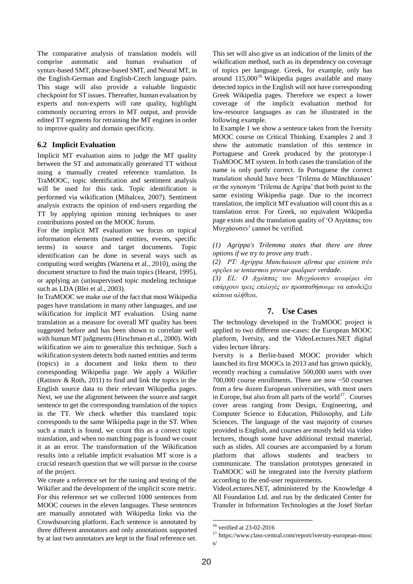The comparative analysis of translation models will comprise automatic and human evaluation of syntax-based SMT, phrase-based SMT, and Neural MT, in the English-German and English-Czech language pairs. This stage will also provide a valuable linguistic checkpoint for ST issues. Thereafter, human evaluation by experts and non-experts will rate quality, highlight commonly occurring errors in MT output, and provide edited TT segments for retraining the MT engines in order to improve quality and domain specificity.

### **6.2 Implicit Evaluation**

Implicit MT evaluation aims to judge the MT quality between the ST and automatically generated TT without using a manually created reference translation. In TraMOOC, topic identification and sentiment analysis will be used for this task. Topic identification is performed via wikification (Mihalcea, 2007). Sentiment analysis extracts the opinion of end-users regarding the TT by applying opinion mining techniques to user contributions posted on the MOOC forum.

For the implicit MT evaluation we focus on topical information elements (named entities, events, specific terms) in source and target documents. Topic identification can be done in several ways such as computing word weights (Wartena et al., 2010), using the document structure to find the main topics (Hearst, 1995), or applying an (un)supervised topic modeling technique such as LDA (Blei et al., 2003).

In TraMOOC we make use of the fact that most Wikipedia pages have translations in many other languages, and use wikification for implicit MT evaluation. Using name translation as a measure for overall MT quality has been suggested before and has been shown to correlate well with human MT judgments (Hirschman et al., 2000). With wikification we aim to generalize this technique. Such a wikification system detects both named entities and terms (topics) in a document and links them to their corresponding Wikipedia page. We apply a Wikifier (Ratinov & Roth, 2011) to find and link the topics in the English source data to their relevant Wikipedia pages. Next, we use the alignment between the source and target sentence to get the corresponding translation of the topics in the TT. We check whether this translated topic corresponds to the same Wikipedia page in the ST. When such a match is found, we count this as a correct topic translation, and when no matching page is found we count it as an error. The transformation of the Wikification results into a reliable implicit evaluation MT score is a crucial research question that we will pursue in the course of the project.

We create a reference set for the tuning and testing of the Wikifier and the development of the implicit score metric. For this reference set we collected 1000 sentences from MOOC courses in the eleven languages. These sentences are manually annotated with Wikipedia links via the Crowdsourcing platform. Each sentence is annotated by three different annotators and only annotations supported by at last two annotators are kept in the final reference set.

This set will also give us an indication of the limits of the wikification method, such as its dependency on coverage of topics per language. Greek, for example, only has around  $115,000^{16}$  Wikipedia pages available and many detected topics in the English will not have corresponding Greek Wikipedia pages. Therefore we expect a lower coverage of the implicit evaluation method for low-resource languages as can be illustrated in the following example.

In Example 1 we show a sentence taken from the Iversity MOOC course on Critical Thinking. Examples 2 and 3 show the automatic translation of this sentence in Portuguese and Greek produced by the prototype-1 TraMOOC MT system. In both cases the translation of the name is only partly correct. In Portuguese the correct translation should have been 'Trilema de Münchhausen' or the synonym 'Trilema de Agripa' that both point to the same existing Wikipedia page. Due to the incorrect translation, the implicit MT evaluation will count this as a translation error. For Greek, no equivalent Wikipedia page exists and the translation quality of 'Ο Αγρίππας του Mσγτάοσσεν' cannot be verified.

*(1) Agrippa's Trilemma states that there are three options if we try to prove any truth .*

*(2) PT: Agrippa Munchausen afirma que existem três opções se tentarmos provar qualquer verdade.*

*(3) ΕL: Ο Αγρίππας του Μυγχάουσεν αναφέρει ότι* υπάρχουν τρεις επιλογές αν προσπαθήσουμε να αποδείζει *κάποια αλήθεια*.

## **7. Use Cases**

The technology developed in the TraMOOC project is applied to two different use-cases: the European MOOC platform, Iversity, and the VideoLectures.NET digital video lecture library.

Iversity is a Berlin-based MOOC provider which launched its first MOOCs in 2013 and has grown quickly, recently reaching a cumulative 500,000 users with over 700,000 course enrollments. There are now ~50 courses from a few dozen European universities, with most users in Europe, but also from all parts of the world $^{17}$ . Courses cover areas ranging from Design, Engineering, and Computer Science to Education, Philosophy, and Life Sciences. The language of the vast majority of courses provided is English, and courses are mostly held via video lectures, though some have additional textual material, such as slides. All courses are accompanied by a forum platform that allows students and teachers to communicate. The translation prototypes generated in TraMOOC will be integrated into the Iversity platform according to the end-user requirements.

VideoLectures.NET, administered by the Knowledge 4 All Foundation Ltd. and run by the dedicated Center for Transfer in Information Technologies at the Josef Stefan

.

<sup>16</sup> verified at 23-02-2016

 $^{17}$ https://www.class-central.com/report/iversity-european-mooc s/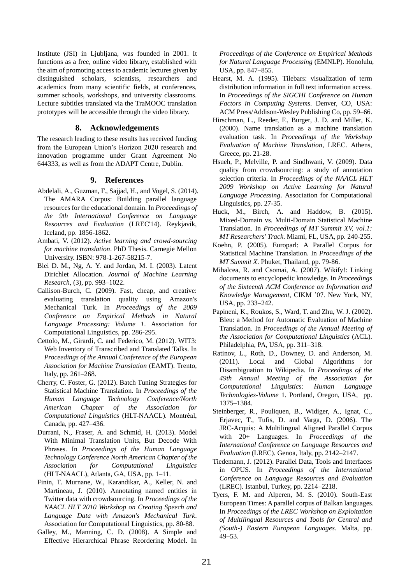Institute (JSI) in Ljubljana, was founded in 2001. It functions as a free, online video library, established with the aim of promoting access to academic lectures given by distinguished scholars, scientists, researchers and academics from many scientific fields, at conferences, summer schools, workshops, and university classrooms. Lecture subtitles translated via the TraMOOC translation prototypes will be accessible through the video library.

#### **8. Acknowledgements**

The research leading to these results has received funding from the European Union's Horizon 2020 research and innovation programme under Grant Agreement No 644333, as well as from the ADAPT Centre, Dublin.

### **9. References**

- Abdelali, A., Guzman, F., Sajjad, H., and Vogel, S. (2014). The AMARA Corpus: Building parallel language resources for the educational domain. In *Proceedings of the 9th International Conference on Language Resources and Evaluation* (LREC'14). Reykjavik, Iceland, pp. 1856-1862.
- Ambati, V. (2012). *Active learning and crowd-sourcing for machine translation*. PhD Thesis. Carnegie Mellon University. ISBN: 978-1-267-58215-7.
- Blei D. M., Ng, A. Y. and Jordan, M. I. (2003). Latent Dirichlet Allocation. *Journal of Machine Learning Research*, (3), pp. 993–1022.
- Callison-Burch, C. (2009). Fast, cheap, and creative: evaluating translation quality using Amazon's Mechanical Turk. In *Proceedings of the 2009 Conference on Empirical Methods in Natural Language Processing: Volume 1*. Association for Computational Linguistics, pp. 286-295.
- Cettolo, M., Girardi, C. and Federico, M. (2012). WIT3: Web Inventory of Transcribed and Translated Talks. In *Proceedings of the Annual Conference of the European Association for Machine Translation* (EAMT). Trento, Italy, pp. 261–268.
- Cherry, C. Foster, G. (2012). Batch Tuning Strategies for Statistical Machine Translation. In *Proceedings of the Human Language Technology Conference/North American Chapter of the Association for Computational Linguistics* (HLT-NAACL). Montréal, Canada, pp. 427–436.
- Durrani, Ν., Fraser, A. and Schmid, H. (2013). Model With Minimal Translation Units, But Decode With Phrases. In *Proceedings of the Human Language Technology Conference North American Chapter of the Association for Computational Linguistics* (HLT-NAACL), Atlanta, GA, USA, pp. 1–11.
- Finin, T. Murnane, W., Karandikar, A., Keller, N. and Martineau, J. (2010). Annotating named entities in Twitter data with crowdsourcing. In *Proceedings of the NAACL HLT 2010 Workshop on Creating Speech and Language Data with Amazon's Mechanical Turk*. Association for Computational Linguistics, pp. 80-88.
- Galley, M., Manning, C. D. (2008). A Simple and Effective Hierarchical Phrase Reordering Model. In

*Proceedings of the Conference on Empirical Methods for Natural Language Processing* (EMNLP). Honolulu, USA, pp. 847–855.

- Hearst, M. A. (1995). Tilebars: visualization of term distribution information in full text information access. In *Proceedings of the SIGCHI Conference on Human Factors in Computing Systems*. Denver, CO, USA: ACM Press/Addison-Wesley Publishing Co, pp. 59–66.
- Hirschman, L., Reeder, F., Burger, J. D. and Miller, K. (2000). Name translation as a machine translation evaluation task. In *Proceedings of the Workshop Evaluation of Machine Translation*, LREC. Athens, Greece, pp. 21-28.
- Hsueh, P., Melville, P. and Sindhwani, V. (2009). Data quality from crowdsourcing: a study of annotation selection criteria. In *Proceedings of the NAACL HLT 2009 Workshop on Active Learning for Natural Language Processing*. Association for Computational Linguistics, pp. 27-35.
- Huck, M., Birch, A. and Haddow, B. (2015). Mixed-Domain vs. Multi-Domain Statistical Machine Translation. In *Proceedings of MT Summit XV, vol.1: MT Researchers' Track*. Miami, FL, USA, pp. 240-255.
- Koehn, P. (2005). Europarl: A Parallel Corpus for Statistical Machine Translation. In *Proceedings of the MT Summit X*. Phuket, Thailand, pp. 79-86.
- Mihalcea, R. and Csomai, A. (2007). Wikify!: Linking documents to encyclopedic knowledge. In *Proceedings of the Sixteenth ACM Conference on Information and Knowledge Management*, CIKM '07. New York, NY, USA, pp. 233–242.
- Papineni, K., Roukos, S., Ward, T. and Zhu, W. J. (2002). Bleu: a Method for Automatic Evaluation of Machine Translation. In *Proceedings of the Annual Meeting of the Association for Computational Linguistics* (ACL). Philadelphia, PA, USA, pp. 311–318.
- Ratinov, L., Roth, D., Downey, D. and Anderson, M. (2011). Local and Global Algorithms for Disambiguation to Wikipedia. In *Proceedings of the 49th Annual Meeting of the Association for Computational Linguistics: Human Language Technologies-Volume* 1. Portland, Oregon, USA, pp. 1375–1384.
- Steinberger, R., Pouliquen, B., Widiger, A., Ignat, C., Erjavec, T., Tufis, D. and Varga, D. (2006). The JRC-Acquis: A Multilingual Aligned Parallel Corpus with 20+ Languages. In *Proceedings of the International Conference on Language Resources and Evaluation* (LREC). Genoa, Italy, pp. 2142–2147.
- Tiedemann, J. (2012). Parallel Data, Tools and Interfaces in OPUS. In *Proceedings of the International Conference on Language Resources and Evaluation* (LREC). Istanbul, Turkey, pp. 2214–2218.
- Tyers, F. M. and Alperen, M. S. (2010). South-East European Times: A parallel corpus of Balkan languages. In *Proceedings of the LREC Workshop on Exploitation of Multilingual Resources and Tools for Central and (South-) Eastern European Languages*. Malta, pp. 49–53.